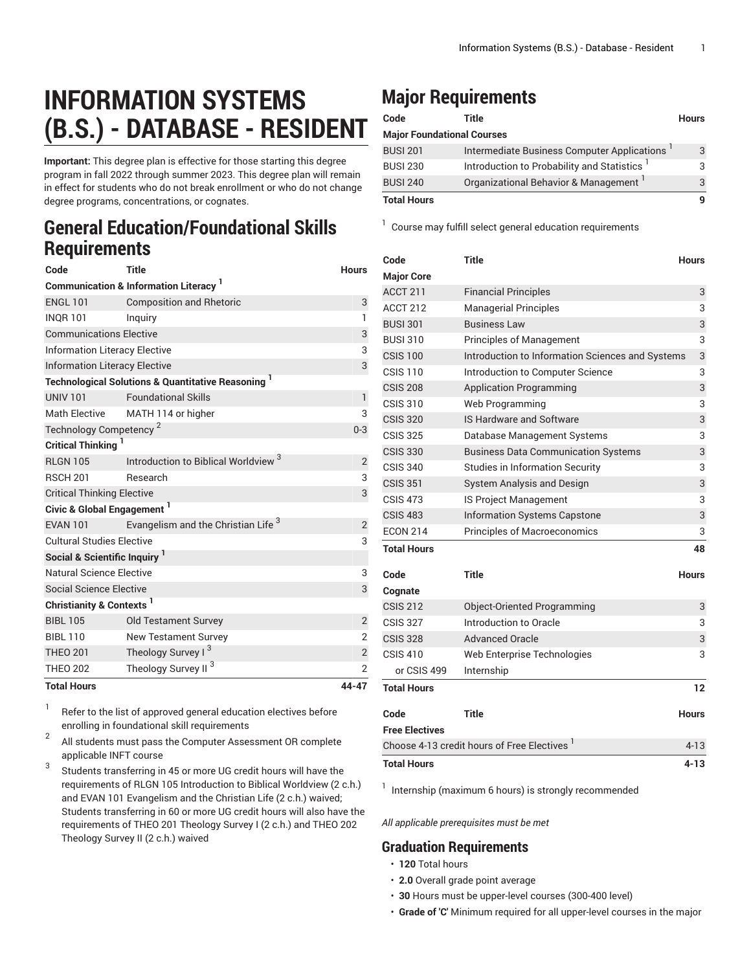## **INFORMATION SYSTEMS (B.S.) - DATABASE - RESIDENT**

**Important:** This degree plan is effective for those starting this degree program in fall 2022 through summer 2023. This degree plan will remain in effect for students who do not break enrollment or who do not change degree programs, concentrations, or cognates.

## **General Education/Foundational Skills Requirements**

| Code                                                                     | <b>Title</b>                                    | <b>Hours</b>   |  |  |
|--------------------------------------------------------------------------|-------------------------------------------------|----------------|--|--|
| <b>Communication &amp; Information Literacy</b> <sup>1</sup>             |                                                 |                |  |  |
| <b>ENGL 101</b>                                                          | <b>Composition and Rhetoric</b>                 | 3              |  |  |
| <b>INOR 101</b>                                                          | Inguiry                                         | 1              |  |  |
| <b>Communications Elective</b>                                           | 3                                               |                |  |  |
| <b>Information Literacy Elective</b>                                     | 3                                               |                |  |  |
| <b>Information Literacy Elective</b>                                     |                                                 |                |  |  |
| <b>Technological Solutions &amp; Quantitative Reasoning</b> <sup>1</sup> |                                                 |                |  |  |
| <b>UNIV 101</b>                                                          | <b>Foundational Skills</b>                      | $\mathbf{1}$   |  |  |
| <b>Math Elective</b>                                                     | MATH 114 or higher                              | 3              |  |  |
| Technology Competency <sup>2</sup>                                       | $0 - 3$                                         |                |  |  |
| <b>Critical Thinking</b>                                                 |                                                 |                |  |  |
| <b>RLGN 105</b>                                                          | Introduction to Biblical Worldview <sup>3</sup> | $\overline{2}$ |  |  |
| <b>RSCH 201</b>                                                          | Research                                        | 3              |  |  |
| <b>Critical Thinking Elective</b>                                        | 3                                               |                |  |  |
| Civic & Global Engagement <sup>1</sup>                                   |                                                 |                |  |  |
| <b>EVAN 101</b>                                                          | Evangelism and the Christian Life <sup>3</sup>  | $\overline{c}$ |  |  |
| <b>Cultural Studies Elective</b>                                         |                                                 |                |  |  |
| Social & Scientific Inquiry <sup>1</sup>                                 |                                                 |                |  |  |
| Natural Science Elective                                                 |                                                 | 3              |  |  |
| <b>Social Science Elective</b>                                           |                                                 | 3              |  |  |
| Christianity & Contexts <sup>1</sup>                                     |                                                 |                |  |  |
| <b>BIBL 105</b>                                                          | <b>Old Testament Survey</b>                     | $\overline{2}$ |  |  |
| <b>BIBL 110</b>                                                          | <b>New Testament Survey</b>                     | $\overline{2}$ |  |  |
| <b>THEO 201</b>                                                          | Theology Survey I <sup>3</sup>                  | $\overline{c}$ |  |  |
| <b>THEO 202</b>                                                          | Theology Survey II <sup>3</sup>                 | $\overline{2}$ |  |  |
| <b>Total Hours</b>                                                       | 44-47                                           |                |  |  |

1 Refer to the list of approved general [education](https://www.liberty.edu/gened/) electives before enrolling in foundational skill requirements

2 All students must pass the [Computer Assessment](https://www.liberty.edu/computerassessment/) OR complete applicable INFT course

3 Students transferring in 45 or more UG credit hours will have the requirements of RLGN 105 Introduction to Biblical Worldview (2 c.h.) and EVAN 101 Evangelism and the Christian Life (2 c.h.) waived; Students transferring in 60 or more UG credit hours will also have the requirements of THEO 201 Theology Survey I (2 c.h.) and THEO 202 Theology Survey II (2 c.h.) waived

## **Major Requirements**

| Code                              | Title                                                   | <b>Hours</b> |
|-----------------------------------|---------------------------------------------------------|--------------|
| <b>Major Foundational Courses</b> |                                                         |              |
| <b>BUSI 201</b>                   | Intermediate Business Computer Applications             | 3            |
| <b>BUSI 230</b>                   | Introduction to Probability and Statistics <sup>1</sup> | З            |
| <b>BUSI 240</b>                   | Organizational Behavior & Management                    |              |
| <b>Total Hours</b>                |                                                         |              |

<sup>1</sup> Course may fulfill select general education [requirements](http://www.liberty.edu/academics/generalstudies/?PID=37563)

| Code                                                    | <b>Title</b>                                     | <b>Hours</b>      |
|---------------------------------------------------------|--------------------------------------------------|-------------------|
| <b>Major Core</b>                                       |                                                  |                   |
| ACCT 211                                                | <b>Financial Principles</b>                      | 3                 |
| <b>ACCT 212</b>                                         | <b>Managerial Principles</b>                     | 3                 |
| <b>BUSI 301</b>                                         | <b>Business Law</b>                              | 3                 |
| <b>BUSI 310</b>                                         | <b>Principles of Management</b>                  | 3                 |
| <b>CSIS 100</b>                                         | Introduction to Information Sciences and Systems | 3                 |
| <b>CSIS 110</b>                                         | Introduction to Computer Science                 | 3                 |
| <b>CSIS 208</b>                                         | <b>Application Programming</b>                   | 3                 |
| <b>CSIS 310</b>                                         | Web Programming                                  | 3                 |
| <b>CSIS 320</b>                                         | IS Hardware and Software                         | 3                 |
| <b>CSIS 325</b>                                         | Database Management Systems                      | 3                 |
| <b>CSIS 330</b>                                         | <b>Business Data Communication Systems</b>       | 3                 |
| <b>CSIS 340</b>                                         | <b>Studies in Information Security</b>           | 3                 |
| <b>CSIS 351</b>                                         | System Analysis and Design                       | 3                 |
| <b>CSIS 473</b>                                         | <b>IS Project Management</b>                     | 3                 |
| <b>CSIS 483</b>                                         | <b>Information Systems Capstone</b>              | 3                 |
| <b>ECON 214</b>                                         | Principles of Macroeconomics                     | 3                 |
| <b>Total Hours</b>                                      |                                                  | 48                |
| Code                                                    | Title                                            | <b>Hours</b>      |
| Cognate                                                 |                                                  |                   |
| <b>CSIS 212</b>                                         | Object-Oriented Programming                      | 3                 |
| <b>CSIS 327</b>                                         | Introduction to Oracle                           | 3                 |
| <b>CSIS 328</b>                                         | <b>Advanced Oracle</b>                           | 3                 |
| <b>CSIS 410</b>                                         | Web Enterprise Technologies                      | 3                 |
| or CSIS 499                                             | Internship                                       |                   |
| <b>Total Hours</b>                                      |                                                  | $12 \overline{ }$ |
|                                                         |                                                  |                   |
| Code                                                    | <b>Title</b>                                     | <b>Hours</b>      |
| <b>Free Electives</b>                                   |                                                  |                   |
| Choose 4-13 credit hours of Free Electives <sup>1</sup> |                                                  | $4 - 13$          |
| <b>Total Hours</b>                                      |                                                  | $4 - 13$          |

<sup>1</sup> Internship (maximum 6 hours) is strongly recommended

*All applicable prerequisites must be met*

## **Graduation Requirements**

- **120** Total hours
- **2.0** Overall grade point average
- **30** Hours must be upper-level courses (300-400 level)
- **Grade of 'C'** Minimum required for all upper-level courses in the major